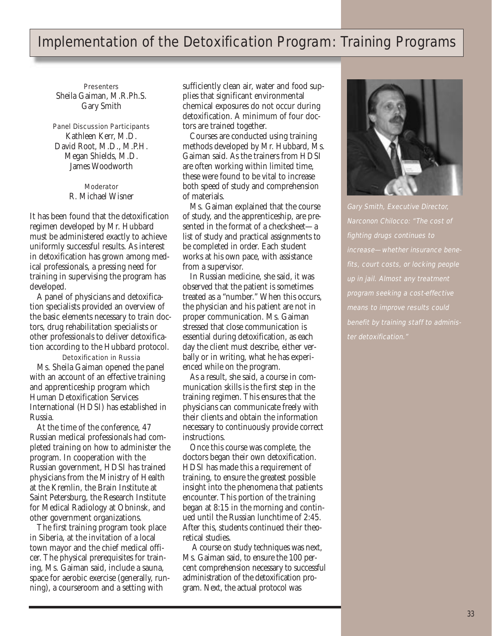## Implementation of the Detoxification Program: Training Programs

**Presenters** Sheila Gaiman, M.R.Ph.S. Gary Smith

## Panel Discussion Participants Kathleen Kerr, M.D. David Root, M.D., M.P.H. Megan Shields, M.D. James Woodworth

## Moderator R. Michael Wisner

It has been found that the detoxification regimen developed by Mr. Hubbard must be administered exactly to achieve uniformly successful results. As interest in detoxification has grown among medical professionals, a pressing need for training in supervising the program has developed.

A panel of physicians and detoxification specialists provided an overview of the basic elements necessary to train doctors, drug rehabilitation specialists or other professionals to deliver detoxification according to the Hubbard protocol.

Detoxification in Russia Ms. Sheila Gaiman opened the panel with an account of an effective training and apprenticeship program which Human Detoxification Services International (HDSI) has established in Russia.

At the time of the conference, 47 Russian medical professionals had completed training on how to administer the program. In cooperation with the Russian government, HDSI has trained physicians from the Ministry of Health at the Kremlin, the Brain Institute at Saint Petersburg, the Research Institute for Medical Radiology at Obninsk, and other government organizations.

The first training program took place in Siberia, at the invitation of a local town mayor and the chief medical officer. The physical prerequisites for training, Ms. Gaiman said, include a sauna, space for aerobic exercise (generally, running), a courseroom and a setting with

sufficiently clean air, water and food supplies that significant environmental chemical exposures do not occur during detoxification. A minimum of four doctors are trained together.

Courses are conducted using training methods developed by Mr. Hubbard, Ms. Gaiman said. As the trainers from HDSI are often working within limited time, these were found to be vital to increase both speed of study and comprehension of materials.

Ms. Gaiman explained that the course of study, and the apprenticeship, are presented in the format of a checksheet—a list of study and practical assignments to be completed in order. Each student works at his own pace, with assistance from a supervisor.

In Russian medicine, she said, it was observed that the patient is sometimes treated as a "number." When this occurs, the physician and his patient are not in proper communication. Ms. Gaiman stressed that close communication is essential during detoxification, as each day the client must describe, either verbally or in writing, what he has experienced while on the program.

As a result, she said, a course in communication skills is the first step in the training regimen. This ensures that the physicians can communicate freely with their clients and obtain the information necessary to continuously provide correct instructions.

Once this course was complete, the doctors began their own detoxification. HDSI has made this a requirement of training, to ensure the greatest possible insight into the phenomena that patients encounter. This portion of the training began at 8:15 in the morning and continued until the Russian lunchtime of 2:45. After this, students continued their theoretical studies.

A course on study techniques was next, Ms. Gaiman said, to ensure the 100 percent comprehension necessary to successful administration of the detoxification program. Next, the actual protocol was



Gary Smith, Executive Director, Narconon Chilocco: "The cost of fighting drugs continues to increase—whether insurance benefits, court costs, or locking people up in jail. Almost any treatment program seeking a cost-effective means to improve results could benefit by training staff to administer detoxification."